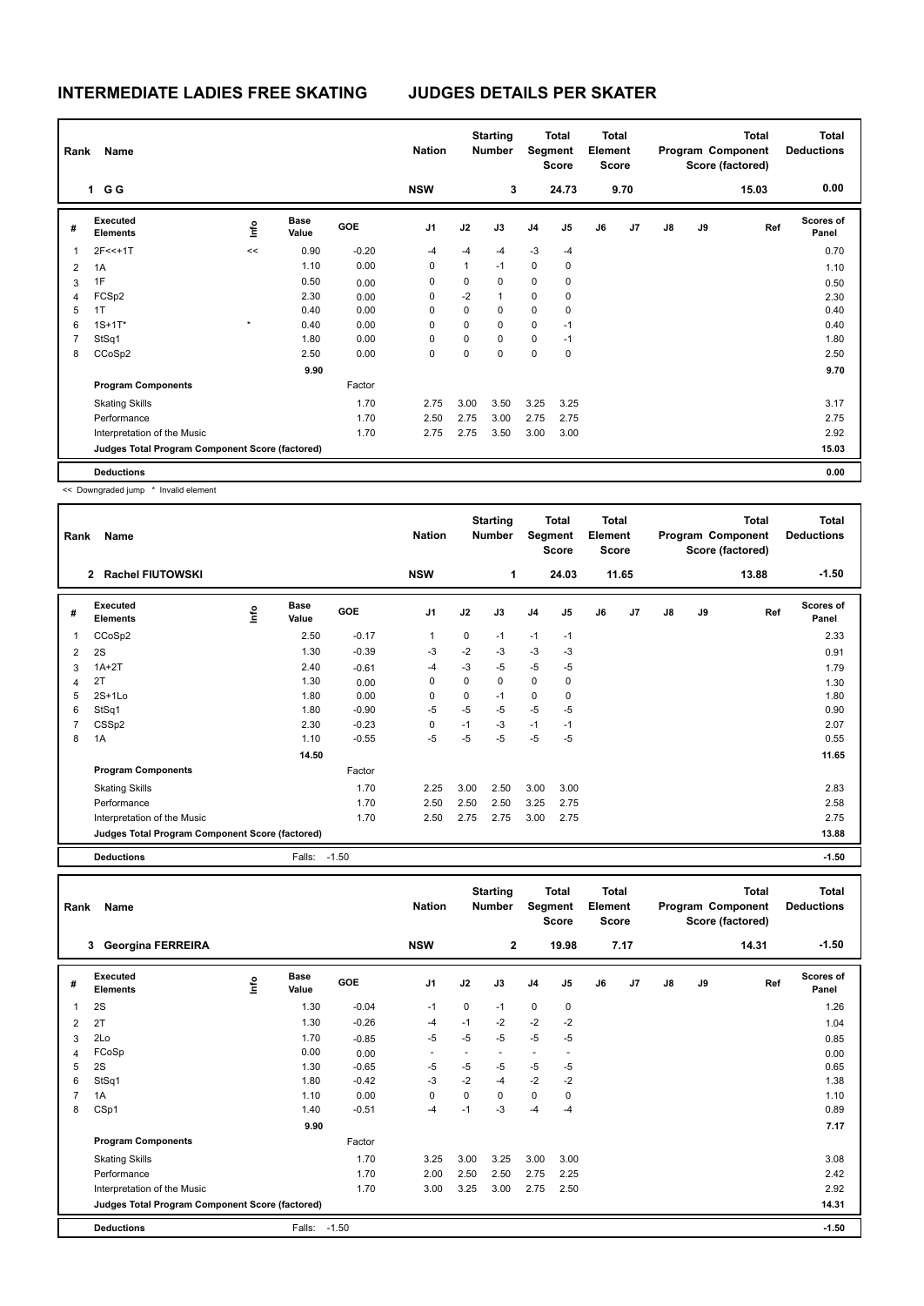## **INTERMEDIATE LADIES FREE SKATING JUDGES DETAILS PER SKATER**

| Rank           | Name                                            |         |                      | <b>Nation</b> |                | <b>Starting</b><br><b>Number</b> | Total<br>Segment<br><b>Score</b> |                | <b>Total</b><br>Element<br><b>Score</b> |    | <b>Total</b><br>Program Component<br>Score (factored) |               |    | <b>Total</b><br><b>Deductions</b> |                           |
|----------------|-------------------------------------------------|---------|----------------------|---------------|----------------|----------------------------------|----------------------------------|----------------|-----------------------------------------|----|-------------------------------------------------------|---------------|----|-----------------------------------|---------------------------|
|                | 1 G G                                           |         |                      |               | <b>NSW</b>     |                                  | 3                                |                | 24.73                                   |    | 9.70                                                  |               |    | 15.03                             | 0.00                      |
| #              | Executed<br><b>Elements</b>                     | ١nfo    | <b>Base</b><br>Value | GOE           | J <sub>1</sub> | J2                               | J3                               | J <sub>4</sub> | J <sub>5</sub>                          | J6 | J7                                                    | $\mathsf{J}8$ | J9 | Ref                               | <b>Scores of</b><br>Panel |
| 1              | $2F<<+1T$                                       | <<      | 0.90                 | $-0.20$       | $-4$           | $-4$                             | $-4$                             | $-3$           | $-4$                                    |    |                                                       |               |    |                                   | 0.70                      |
| $\overline{2}$ | 1A                                              |         | 1.10                 | 0.00          | 0              | $\mathbf{1}$                     | $-1$                             | 0              | 0                                       |    |                                                       |               |    |                                   | 1.10                      |
| 3              | 1F                                              |         | 0.50                 | 0.00          | 0              | 0                                | $\Omega$                         | $\mathbf 0$    | 0                                       |    |                                                       |               |    |                                   | 0.50                      |
| 4              | FCSp2                                           |         | 2.30                 | 0.00          | 0              | $-2$                             | $\mathbf{1}$                     | 0              | 0                                       |    |                                                       |               |    |                                   | 2.30                      |
| 5              | 1T                                              |         | 0.40                 | 0.00          | $\Omega$       | 0                                | $\Omega$                         | 0              | 0                                       |    |                                                       |               |    |                                   | 0.40                      |
| 6              | $1S + 1T^*$                                     | $\star$ | 0.40                 | 0.00          | 0              | 0                                | $\mathbf 0$                      | 0              | $-1$                                    |    |                                                       |               |    |                                   | 0.40                      |
| $\overline{7}$ | StSq1                                           |         | 1.80                 | 0.00          | 0              | 0                                | $\mathbf 0$                      | $\mathbf 0$    | $-1$                                    |    |                                                       |               |    |                                   | 1.80                      |
| 8              | CCoSp2                                          |         | 2.50                 | 0.00          | 0              | 0                                | $\mathbf 0$                      | $\mathbf 0$    | $\mathbf 0$                             |    |                                                       |               |    |                                   | 2.50                      |
|                |                                                 |         | 9.90                 |               |                |                                  |                                  |                |                                         |    |                                                       |               |    |                                   | 9.70                      |
|                | <b>Program Components</b>                       |         |                      | Factor        |                |                                  |                                  |                |                                         |    |                                                       |               |    |                                   |                           |
|                | <b>Skating Skills</b>                           |         |                      | 1.70          | 2.75           | 3.00                             | 3.50                             | 3.25           | 3.25                                    |    |                                                       |               |    |                                   | 3.17                      |
|                | Performance                                     |         |                      | 1.70          | 2.50           | 2.75                             | 3.00                             | 2.75           | 2.75                                    |    |                                                       |               |    |                                   | 2.75                      |
|                | Interpretation of the Music                     |         |                      | 1.70          | 2.75           | 2.75                             | 3.50                             | 3.00           | 3.00                                    |    |                                                       |               |    |                                   | 2.92                      |
|                | Judges Total Program Component Score (factored) |         |                      |               |                |                                  |                                  |                |                                         |    |                                                       |               |    |                                   | 15.03                     |
|                | <b>Deductions</b>                               |         |                      |               |                |                                  |                                  |                |                                         |    |                                                       |               |    |                                   | 0.00                      |

<< Downgraded jump \* Invalid element

|   | Rank<br>Name                                    |                         |                      |            | <b>Starting</b><br><b>Nation</b><br><b>Number</b> |      | <b>Total</b><br>Segment<br><b>Score</b> |                | <b>Total</b><br>Element<br><b>Score</b> |    | <b>Total</b><br>Program Component<br>Score (factored) |    |    | <b>Total</b><br><b>Deductions</b> |                           |
|---|-------------------------------------------------|-------------------------|----------------------|------------|---------------------------------------------------|------|-----------------------------------------|----------------|-----------------------------------------|----|-------------------------------------------------------|----|----|-----------------------------------|---------------------------|
|   | <b>Rachel FIUTOWSKI</b><br>$\mathbf{2}$         |                         |                      |            | <b>NSW</b>                                        |      | 1                                       |                | 24.03                                   |    | 11.65                                                 |    |    | 13.88                             | $-1.50$                   |
| # | Executed<br><b>Elements</b>                     | $\mathsf{f}^\mathsf{o}$ | <b>Base</b><br>Value | <b>GOE</b> | J <sub>1</sub>                                    | J2   | J3                                      | J <sub>4</sub> | J5                                      | J6 | J <sub>7</sub>                                        | J8 | J9 | Ref                               | <b>Scores of</b><br>Panel |
| 1 | CCoSp2                                          |                         | 2.50                 | $-0.17$    | 1                                                 | 0    | $-1$                                    | $-1$           | $-1$                                    |    |                                                       |    |    |                                   | 2.33                      |
| 2 | 2S                                              |                         | 1.30                 | $-0.39$    | $-3$                                              | $-2$ | $-3$                                    | $-3$           | $-3$                                    |    |                                                       |    |    |                                   | 0.91                      |
| 3 | $1A+2T$                                         |                         | 2.40                 | $-0.61$    | $-4$                                              | $-3$ | -5                                      | -5             | $-5$                                    |    |                                                       |    |    |                                   | 1.79                      |
| 4 | 2T                                              |                         | 1.30                 | 0.00       | 0                                                 | 0    | 0                                       | 0              | 0                                       |    |                                                       |    |    |                                   | 1.30                      |
| 5 | $2S+1Lo$                                        |                         | 1.80                 | 0.00       | 0                                                 | 0    | $-1$                                    | 0              | 0                                       |    |                                                       |    |    |                                   | 1.80                      |
| 6 | StSq1                                           |                         | 1.80                 | $-0.90$    | $-5$                                              | $-5$ | $-5$                                    | $-5$           | $-5$                                    |    |                                                       |    |    |                                   | 0.90                      |
|   | CSS <sub>p2</sub>                               |                         | 2.30                 | $-0.23$    | 0                                                 | $-1$ | $-3$                                    | $-1$           | $-1$                                    |    |                                                       |    |    |                                   | 2.07                      |
| 8 | 1A                                              |                         | 1.10                 | $-0.55$    | $-5$                                              | $-5$ | $-5$                                    | $-5$           | $-5$                                    |    |                                                       |    |    |                                   | 0.55                      |
|   |                                                 |                         | 14.50                |            |                                                   |      |                                         |                |                                         |    |                                                       |    |    |                                   | 11.65                     |
|   | <b>Program Components</b>                       |                         |                      | Factor     |                                                   |      |                                         |                |                                         |    |                                                       |    |    |                                   |                           |
|   | <b>Skating Skills</b>                           |                         |                      | 1.70       | 2.25                                              | 3.00 | 2.50                                    | 3.00           | 3.00                                    |    |                                                       |    |    |                                   | 2.83                      |
|   | Performance                                     |                         |                      | 1.70       | 2.50                                              | 2.50 | 2.50                                    | 3.25           | 2.75                                    |    |                                                       |    |    |                                   | 2.58                      |
|   | Interpretation of the Music                     |                         |                      | 1.70       | 2.50                                              | 2.75 | 2.75                                    | 3.00           | 2.75                                    |    |                                                       |    |    |                                   | 2.75                      |
|   | Judges Total Program Component Score (factored) |                         |                      |            |                                                   |      |                                         |                |                                         |    |                                                       |    |    |                                   | 13.88                     |
|   | <b>Deductions</b>                               |                         | Falls: -1.50         |            |                                                   |      |                                         |                |                                         |    |                                                       |    |    |                                   | $-1.50$                   |

| Rank           | Name                                            |      |               |            | <b>Nation</b>  |                          | <b>Starting</b><br><b>Number</b> |                          | <b>Total</b><br>Segment<br><b>Score</b> |    | <b>Total</b><br>Element<br><b>Score</b> |               |    | <b>Total</b><br>Program Component<br>Score (factored) | <b>Total</b><br><b>Deductions</b> |
|----------------|-------------------------------------------------|------|---------------|------------|----------------|--------------------------|----------------------------------|--------------------------|-----------------------------------------|----|-----------------------------------------|---------------|----|-------------------------------------------------------|-----------------------------------|
|                | 3 Georgina FERREIRA                             |      |               |            | <b>NSW</b>     |                          | $\overline{2}$                   |                          | 19.98                                   |    | 7.17                                    |               |    | 14.31                                                 | $-1.50$                           |
| #              | Executed<br><b>Elements</b>                     | lnfo | Base<br>Value | <b>GOE</b> | J <sub>1</sub> | J2                       | J3                               | J <sub>4</sub>           | J5                                      | J6 | J7                                      | $\mathsf{J}8$ | J9 | Ref                                                   | Scores of<br>Panel                |
| $\mathbf{1}$   | 2S                                              |      | 1.30          | $-0.04$    | $-1$           | 0                        | $-1$                             | $\mathbf 0$              | $\mathbf 0$                             |    |                                         |               |    |                                                       | 1.26                              |
| 2              | 2T                                              |      | 1.30          | $-0.26$    | $-4$           | $-1$                     | $-2$                             | $-2$                     | $-2$                                    |    |                                         |               |    |                                                       | 1.04                              |
| 3              | 2Lo                                             |      | 1.70          | $-0.85$    | $-5$           | $-5$                     | $-5$                             | $-5$                     | $-5$                                    |    |                                         |               |    |                                                       | 0.85                              |
| 4              | FCoSp                                           |      | 0.00          | 0.00       |                | $\overline{\phantom{a}}$ |                                  | $\overline{\phantom{a}}$ | $\overline{\phantom{a}}$                |    |                                         |               |    |                                                       | 0.00                              |
| 5              | 2S                                              |      | 1.30          | $-0.65$    | $-5$           | $-5$                     | $-5$                             | $-5$                     | $-5$                                    |    |                                         |               |    |                                                       | 0.65                              |
| 6              | StSq1                                           |      | 1.80          | $-0.42$    | $-3$           | $-2$                     | $-4$                             | $-2$                     | $-2$                                    |    |                                         |               |    |                                                       | 1.38                              |
| $\overline{7}$ | 1A                                              |      | 1.10          | 0.00       | $\Omega$       | 0                        | $\Omega$                         | $\mathbf 0$              | 0                                       |    |                                         |               |    |                                                       | 1.10                              |
| 8              | CSp1                                            |      | 1.40          | $-0.51$    | $-4$           | $-1$                     | $-3$                             | $-4$                     | $-4$                                    |    |                                         |               |    |                                                       | 0.89                              |
|                |                                                 |      | 9.90          |            |                |                          |                                  |                          |                                         |    |                                         |               |    |                                                       | 7.17                              |
|                | <b>Program Components</b>                       |      |               | Factor     |                |                          |                                  |                          |                                         |    |                                         |               |    |                                                       |                                   |
|                | <b>Skating Skills</b>                           |      |               | 1.70       | 3.25           | 3.00                     | 3.25                             | 3.00                     | 3.00                                    |    |                                         |               |    |                                                       | 3.08                              |
|                | Performance                                     |      |               | 1.70       | 2.00           | 2.50                     | 2.50                             | 2.75                     | 2.25                                    |    |                                         |               |    |                                                       | 2.42                              |
|                | Interpretation of the Music                     |      |               | 1.70       | 3.00           | 3.25                     | 3.00                             | 2.75                     | 2.50                                    |    |                                         |               |    |                                                       | 2.92                              |
|                | Judges Total Program Component Score (factored) |      |               |            |                |                          |                                  |                          |                                         |    |                                         |               |    |                                                       | 14.31                             |
|                | <b>Deductions</b>                               |      | Falls:        | $-1.50$    |                |                          |                                  |                          |                                         |    |                                         |               |    |                                                       | $-1.50$                           |